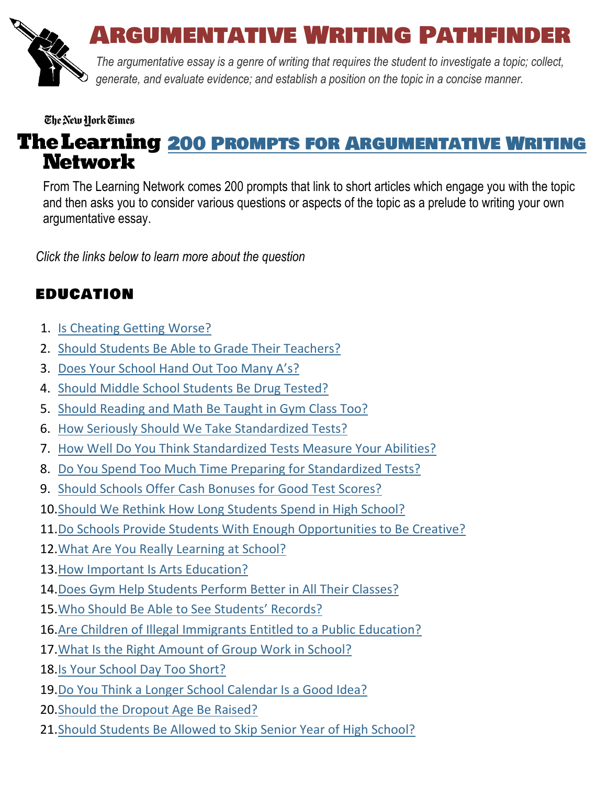

# Argumentative Writing Pathfinder

*The argumentative essay is a genre of writing that requires the student to investigate a topic; collect, generate, and evaluate evidence; and establish a position on the topic in a concise manner.*

#### The New York Times

# The Learning 200 PROMPTS FOR ARGUMENTATIVE WRITING **Network**

From The Learning Network comes 200 prompts that link to short articles which engage you with the topic and then asks you to consider various questions or aspects of the topic as a prelude to writing your own argumentative essay.

*Click the links below to learn more about the question* 

# EDUCATION

- 1. [Is Cheating Getting Worse?](https://learning.blogs.nytimes.com/2012/09/10/why-do-students-cheat-in-school/)
- 2. [Should Students Be Able to Grade Their Teachers?](https://learning.blogs.nytimes.com/2012/09/19/should-students-be-able-to-grade-their-teachers/)
- 3. [Does Your School Hand Out Too Many A's?](https://learning.blogs.nytimes.com/2013/12/12/does-your-school-hand-out-too-many-as/)
- 4. [Should Middle School Students Be Drug Tested?](https://learning.blogs.nytimes.com/2012/09/24/should-middle-school-students-be-drug-tested/)
- 5. [Should Reading and Math Be Taught in Gym Class Too?](https://learning.blogs.nytimes.com/2013/02/20/should-reading-and-math-be-taught-in-gym-class-too/)
- 6. [How Seriously Should We Take Standardized Tests?](https://learning.blogs.nytimes.com/2013/12/05/how-seriously-should-we-take-standardized-tests/)
- 7. [How Well Do You Think Standardized Tests Measure Your Abilities?](https://learning.blogs.nytimes.com/2012/03/09/how-well-do-you-think-standardized-tests-measure-your-abilities/)
- 8. [Do You Spend Too Much Time Preparing for Standardized Tests?](https://learning.blogs.nytimes.com/2013/04/12/do-you-spend-too-much-time-preparing-for-standardized-tests/)
- 9. [Should Schools Offer Cash Bonuses for Good Test Scores?](https://learning.blogs.nytimes.com/2011/10/04/should-schools-offer-cash-bonuses-for-good-test-scores/)
- 10[.Should We Rethink How Long Students Spend in High School?](https://learning.blogs.nytimes.com/2013/10/31/should-we-rethink-how-long-students-spend-in-high-school/)
- 11[.Do Schools Provide Students With Enough Opportunities to Be Creative?](https://learning.blogs.nytimes.com/2013/09/27/do-schools-provide-students-with-enough-opportunities-to-be-creative/)
- 12[.What Are You Really Learning at School?](https://learning.blogs.nytimes.com/2011/09/07/what-are-you-really-learning-at-school/)
- 13[.How Important Is Arts Education?](https://learning.blogs.nytimes.com/2011/02/08/how-important-is-arts-education/)
- 14. Does Gym [Help Students Perform Better in All Their Classes?](https://learning.blogs.nytimes.com/2013/09/20/does-gym-help-students-perform-better-in-all-their-classes/)
- 15.[Who Should Be Able to See Students' Records?](https://learning.blogs.nytimes.com/2013/10/07/who-should-be-able-to-see-students-records/)
- 16[.Are Children of Illegal Immigrants Entitled to a Public Education?](https://learning.blogs.nytimes.com/2011/10/06/are-children-of-illegal-immigrants-entitled-to-a-public-education/)
- 17[.What Is the Right Amount of Group Work in School?](https://learning.blogs.nytimes.com/2012/01/17/what-is-the-right-amount-of-group-work-in-school/)
- 18[.Is Your School Day Too Short?](https://learning.blogs.nytimes.com/2011/08/24/is-your-school-day-too-short/)
- 19[.Do You Think a Longer School Calendar Is a Good Idea?](https://learning.blogs.nytimes.com/2012/12/04/do-you-think-a-longer-school-calendar-is-a-good-idea/)
- 20[.Should the Dropout Age Be Raised?](https://learning.blogs.nytimes.com/2012/01/27/should-the-dropout-age-be-raised/)
- 21. Should Students Be Allowed to Skip Senior Year of High School?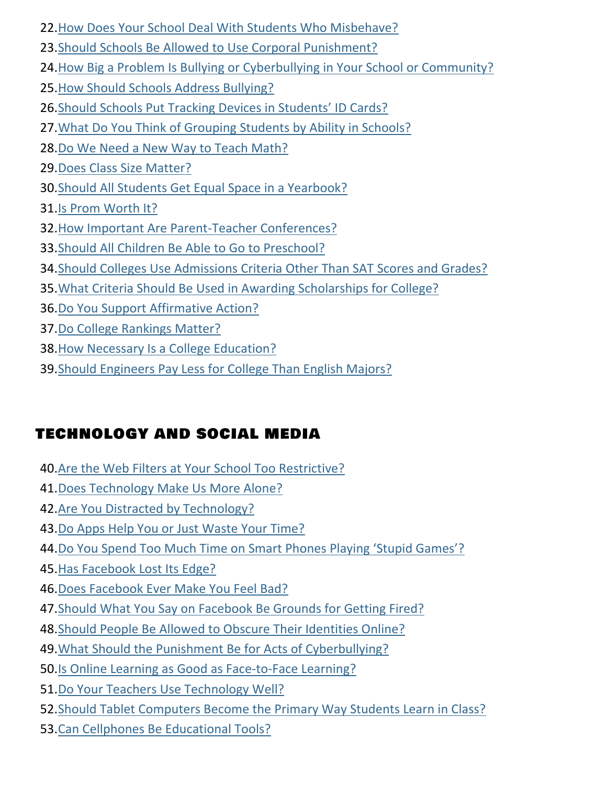- [.How Does Your School Deal With Students Who Misbehave?](https://learning.blogs.nytimes.com/2013/04/09/how-does-your-school-deal-with-students-who-misbehave/)
- [.Should Schools Be Allowed to Use Corporal Punishment?](https://learning.blogs.nytimes.com/2011/03/30/should-schools-be-allowed-to-use-corporal-punishment/)
- [.How Big a Problem Is Bullying or Cyberbullying in Your School or Community?](https://learning.blogs.nytimes.com/2013/09/18/how-big-a-problem-is-bullying-or-cyberbullying-in-your-school-or-community/)
- [.How Should Schools Address Bullying?](https://learning.blogs.nytimes.com/2011/09/01/how-should-schools-address-bullying/)
- 26.S[hould Schools Put Tracking Devices in Students' ID Cards?](https://learning.blogs.nytimes.com/2012/10/09/should-schools-put-tracking-devices-in-students-i-d-cards/)
- [.What Do You Think of Grouping Students by Ability in Schools?](https://learning.blogs.nytimes.com/2013/06/11/what-do-you-think-of-grouping-students-by-ability-in-schools/)
- [.Do We Need a New Way to Teach Math?](https://learning.blogs.nytimes.com/2011/08/26/do-we-need-a-new-way-to-teach-math/)
- [.Does Class Size Matter?](https://learning.blogs.nytimes.com/2011/03/08/does-class-size-matter/)
- [.Should All Students Get Equal Space in a Yearbook?](https://learning.blogs.nytimes.com/2010/11/08/should-all-students-get-equal-space-in-a-yearbook/)
- [.Is Prom Worth It?](https://learning.blogs.nytimes.com/2013/05/02/is-prom-worth-it/)
- [.How Important Are Parent-Teacher Conferences?](https://learning.blogs.nytimes.com/2013/11/14/how-important-are-parent-teacher-conferences/)
- [.Should All Children Be Able to Go to Preschool?](https://learning.blogs.nytimes.com/2013/02/15/should-all-children-be-able-to-go-to-preschool/)
- [.Should Colleges Use Admissions Criteria Other Than SAT Scores and Grades?](https://learning.blogs.nytimes.com/2013/10/02/should-colleges-use-other-admissions-criteria-instead-of-sat-scores-or-grades/)
- [.What Criteria Should Be Used in Awarding Scholarships for College?](https://learning.blogs.nytimes.com/2013/09/09/what-criteria-should-be-used-in-awarding-scholarships-for-college/)
- [.Do You Support Affirmative Action?](https://learning.blogs.nytimes.com/2011/10/18/do-you-support-affirmative-action/)
- [.Do College Rankings Matter?](https://learning.blogs.nytimes.com/2012/02/03/do-college-rankings-matter/)
- [.How Necessary Is a College Education?](https://learning.blogs.nytimes.com/2012/04/30/how-necessary-is-a-college-education/)
- [.Should Engineers Pay Less for College Than English Majors?](https://learning.blogs.nytimes.com/2012/12/12/should-engineers-pay-less-for-college-than-english-majors/)

# TECHNOLOGY AND SOCIAL MEDIA

- [.Are the Web Filters at Your School Too Restrictive?](https://www.nytimes.com/2016/09/27/learning/are-the-web-filters-at-your-school-too-restrictive.html)
- [.Does Technology Make Us More Alone?](https://learning.blogs.nytimes.com/2013/09/04/does-technology-somehow-make-us-more-alone/)
- [.Are You Distracted by Technology?](https://learning.blogs.nytimes.com/2012/11/02/are-you-distracted-by-technology/)
- [.Do Apps Help You or Just](https://learning.blogs.nytimes.com/2011/09/30/do-apps-help-you-or-just-waste-your-time/) Waste Your Time?
- 44.[Do You Spend Too Much Time on Smart Phones Playing 'Stupid Games'?](https://learning.blogs.nytimes.com/2012/04/05/do-you-spend-too-much-time-on-smart-phones-playing-stupid-games/)
- [.Has Facebook Lost Its Edge?](https://learning.blogs.nytimes.com/2013/11/19/has-facebook-lost-its-edge/)
- [.Does Facebook Ever Make You Feel Bad?](https://learning.blogs.nytimes.com/2013/01/15/does-facebook-ever-make-you-feel-bad/)
- [.Should What You Say on Facebook Be Grounds for Getting Fired?](https://learning.blogs.nytimes.com/2013/05/10/should-what-you-say-on-facebook-be-grounds-for-getting-fired/)
- [.Should People Be Allowed to Obscure Their Identities Online?](https://learning.blogs.nytimes.com/2011/11/18/should-people-be-allowed-to-obscure-their-identities-online/)
- [.What Should the Punishment Be for Acts of Cyberbullying?](https://learning.blogs.nytimes.com/2010/10/04/what-should-the-punishment-be-for-acts-of-cyberbullying/)
- [.Is Online Learning as Good as Face-to-Face Learning?](https://learning.blogs.nytimes.com/2011/04/07/is-online-learning-as-good-as-face-to-face-learning/)
- [.Do Your Teachers Use Technology Well?](https://learning.blogs.nytimes.com/2012/01/05/do-your-teachers-use-technology-well/)
- [.Should Tablet Computers Become the Primary Way Students Learn in Class?](https://learning.blogs.nytimes.com/2013/09/13/should-tablet-computers-become-the-primary-way-students-learn-in-class/)
- [.Can Cellphones Be Educational Tools?](https://learning.blogs.nytimes.com/2010/09/20/can-cellphones-be-educational-tools/)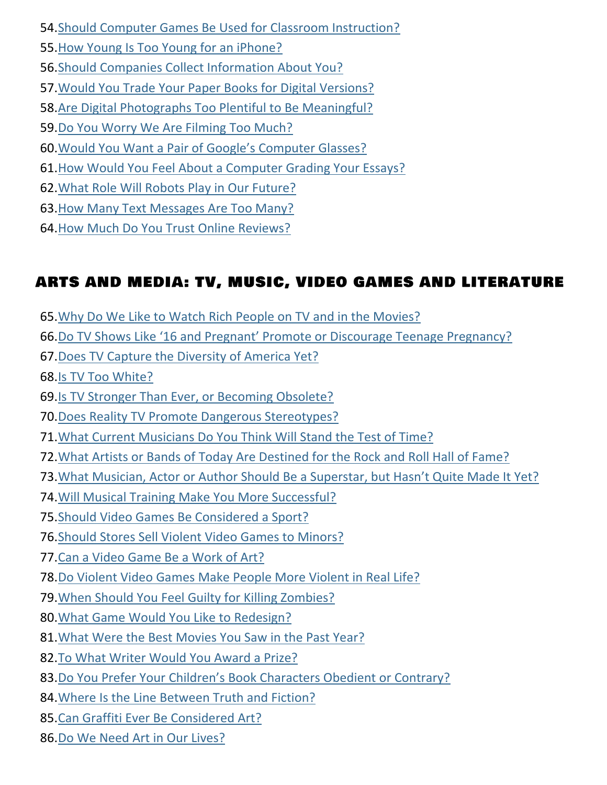- [.Should Computer Games Be Used for Classroom Instruction?](https://learning.blogs.nytimes.com/2013/03/19/should-computer-games-be-used-for-classroom-instruction/)
- [.How Young Is Too Young for an iPhone?](https://learning.blogs.nytimes.com/2013/10/29/how-young-is-too-young-for-an-iphone/)
- [.Should Companies Collect Information About You?](https://learning.blogs.nytimes.com/2012/02/21/should-companies-collect-information-about-you/)
- [.Would You Trade Your Paper Books for Digital Versions?](https://learning.blogs.nytimes.com/2010/10/21/would-you-trade-your-paper-books-for-digital-versions/)
- [.Are Digital Photographs Too Plentiful to Be Meaningful?](https://learning.blogs.nytimes.com/2012/12/03/are-digital-photographs-too-plentiful-to-be-meaningful/)
- [.Do You Worry We Are Filming Too Much?](https://learning.blogs.nytimes.com/2014/01/09/do-you-worry-we-are-filming-too-much/)
- 60.[Would You Want a Pair of Google's Computer Glasses?](https://learning.blogs.nytimes.com/2013/05/08/would-you-want-a-pair-of-google-glass/)
- [.How Would You Feel About a Computer Grading Your Essays?](https://learning.blogs.nytimes.com/2013/04/05/how-would-you-feel-about-a-computer-grading-your-essays/)
- [.What Role Will Robots Play in Our Future?](https://learning.blogs.nytimes.com/2013/05/23/what-role-will-robots-play-in-our-future/)
- [.How Many Text Messages Are Too Many?](https://learning.blogs.nytimes.com/2013/03/11/how-many-text-messages-are-too-many/)
- 64.How [Much Do You Trust Online Reviews?](https://learning.blogs.nytimes.com/2013/09/24/how-much-do-you-trust-online-reviews/)

# ARTS AND MEDIA: TV, MUSIC, VIDEO GAMES AND LITERATURE

- [.Why Do We Like to Watch Rich People on TV and in the Movies?](https://learning.blogs.nytimes.com/2014/01/23/why-do-we-like-to-watch-rich-people-on-tv-and-in-the-movies/)
- 66.[Do TV Shows Like '16 and Pregnant' Promote or Discourage Teenage Pregnancy?](https://learning.blogs.nytimes.com/2014/01/14/do-tv-shows-like-sixteen-and-pregnant-promote-or-discourage-teen-pregnancy/)
- [.Does TV Capture the Diversity of America Yet?](https://learning.blogs.nytimes.com/2013/11/05/does-tv-capture-the-diversity-of-america-yet/)
- [.Is TV Too White?](https://learning.blogs.nytimes.com/2012/04/27/is-tv-too-white/)
- [.Is TV Stronger Than Ever, or Becoming Obsolete?](https://learning.blogs.nytimes.com/2012/05/15/is-tv-stronger-than-ever-or-becoming-obsolete/)
- [.Does Reality TV Promote Dangerous Stereotypes?](https://learning.blogs.nytimes.com/2013/01/03/does-reality-tv-promote-dangerous-stereotypes/)
- [.What Current Musicians Do You Think Will Stand the Test of Time?](https://learning.blogs.nytimes.com/2012/10/25/what-current-musicians-do-you-think-will-stand-the-test-of-time/)
- [.What Artists or Bands of Today Are Destined for the Rock and Roll Hall of Fame?](https://learning.blogs.nytimes.com/2011/12/05/what-artists-or-bands-of-today-are-destined-for-the-rock-and-roll-hall-of-fame/)
- 73.[What Musician, Actor or Author Should Be a Superstar, but Hasn't Quite Made It Yet?](https://learning.blogs.nytimes.com/2013/12/19/what-musician-actor-or-author-should-be-a-superstar-but-hasnt-quite-made-it-yet/)
- [.Will Musical Training Make You More Successful?](https://learning.blogs.nytimes.com/2013/10/16/will-musical-training-make-you-more-successful/)
- [.Should Video Games Be Considered a Sport?](https://learning.blogs.nytimes.com/2013/10/04/should-video-games-be-considered-a-sport/)
- [.Should Stores Sell Violent Video Games to Minors?](https://learning.blogs.nytimes.com/2010/11/04/should-stores-sell-violent-video-games-to-minors/)
- [.Can a Video Game Be a Work of Art?](https://learning.blogs.nytimes.com/2010/06/25/can-a-video-game-be-a-work-of-art/)
- [.Do Violent Video Games Make People More Violent in Real Life?](https://learning.blogs.nytimes.com/2013/02/13/do-violent-video-games-make-people-more-violent-in-real-life/)
- [.When Should You Feel Guilty for Killing Zombies?](https://learning.blogs.nytimes.com/2012/05/10/when-should-you-feel-guilty-for-killing-zombies/)
- [.What Game Would You Like to Redesign?](https://learning.blogs.nytimes.com/2012/01/11/what-game-would-you-like-to-redesign/)
- [.What Were the Best Movies You Saw in the Past Year?](https://learning.blogs.nytimes.com/2014/01/17/what-were-the-best-movies-you-saw-in-the-past-year/)
- [.To What Writer Would You Award a Prize?](https://learning.blogs.nytimes.com/2010/10/08/to-what-author-would-you-award-a-prize/)
- 83. [Do You Prefer Your Children's Book Characters Obedient or Contrary?](https://learning.blogs.nytimes.com/2012/05/09/do-you-prefer-your-childrens-book-characters-obedient-or-contrary/)
- [.Where Is the Line Between Truth and Fiction?](https://learning.blogs.nytimes.com/2012/03/20/where-is-the-line-between-truth-and-fiction/)
- [.Can Graffiti Ever Be Considered Art?](https://learning.blogs.nytimes.com/2013/02/19/can-graffiti-ever-be-considered-art/)
- [.Do We Need Art in Our Lives?](https://learning.blogs.nytimes.com/2013/11/26/do-we-need-art-in-our-lives/)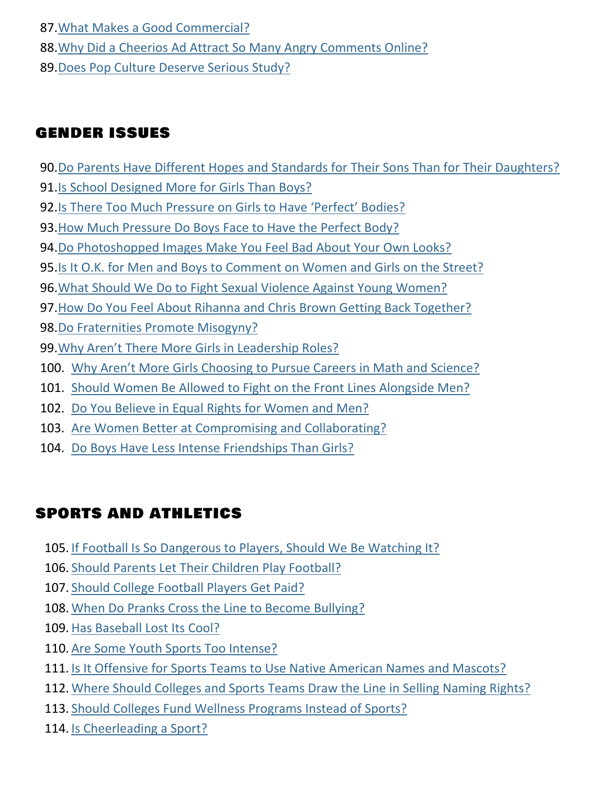87[.What Makes a Good Commercial?](https://learning.blogs.nytimes.com/2013/02/06/what-makes-a-good-commercial/)

88. Why Did a Cheerios Ad Attract So Many Angry Comments Online?

89[.Does Pop Culture Deserve Serious Study?](https://learning.blogs.nytimes.com/2011/11/01/does-pop-culture-deserve-serious-study/)

#### GENDER ISSUES

- 90[.Do Parents Have Different Hopes and Standards for](https://learning.blogs.nytimes.com/2014/01/22/do-parents-have-different-hopes-and-standards-for-their-sons-and-daughters/) Their Sons Than for Their Daughters?
- 91[.Is School Designed More for Girls Than Boys?](https://learning.blogs.nytimes.com/2013/02/05/is-school-designed-more-for-girls-than-boys/)
- 92.[Is There Too Much Pressure on Girls to Have 'Perfect' Bodies?](https://learning.blogs.nytimes.com/2013/10/03/is-there-too-much-pressure-on-girls-to-have-perfect-bodies/)
- 93[.How Much Pressure Do Boys Face to Have the Perfect Body?](https://learning.blogs.nytimes.com/2012/11/20/how-much-pressure-do-boys-face-to-have-the-perfect-body/)
- 94[.Do Photoshopped Images Make You Feel Bad About Your Own Looks?](https://learning.blogs.nytimes.com/2011/11/30/do-photoshopped-images-make-you-feel-bad-about-your-own-looks/)
- 95[.Is It O.K. for Men and Boys to Comment on Women and Girls on the Street?](https://learning.blogs.nytimes.com/2013/03/05/is-it-o-k-for-men-and-boys-to-comment-on-women-and-girls-on-the-street/)
- 96[.What Should We Do to Fight Sexual Violence Against Young Women?](https://learning.blogs.nytimes.com/2013/03/22/what-should-we-do-to-fight-sexual-violence-against-young-women/)
- 97[.How Do You Feel About Rihanna and Chris Brown Getting Back Together?](https://learning.blogs.nytimes.com/2013/05/01/how-do-you-feel-about-rihanna-and-chris-brown-getting-back-together/)
- 98[.Do Fraternities Promote Misogyny?](https://learning.blogs.nytimes.com/2011/05/09/do-fraternities-promote-misogyny/)
- 99.[Why Aren't There More Girls in Leadership Roles?](https://learning.blogs.nytimes.com/2013/04/17/why-arent-there-more-girls-in-leadership-roles/)
- 100. [Why Aren't More Girls Choosing to Pursue Careers in Math and Science?](https://learning.blogs.nytimes.com/2013/11/22/why-arent-more-girls-choosing-to-pursue-careers-in-math-and-science/)
- 101. [Should Women Be Allowed to Fight on the Front Lines Alongside Men?](https://learning.blogs.nytimes.com/2013/01/24/should-women-be-allowed-to-fight-on-the-front-lines-alongside-men/)
- 102. [Do You Believe in Equal Rights for Women and Men?](https://learning.blogs.nytimes.com/2010/07/02/do-you-believe-in-equal-rights-for-women-and-men/)
- 103. [Are Women Better at Compromising and Collaborating?](https://learning.blogs.nytimes.com/2013/10/17/are-women-better-at-compromising-and-collaborating/)
- 104. [Do Boys Have Less Intense Friendships Than Girls?](https://learning.blogs.nytimes.com/2011/09/23/do-boys-have-less-intense-friendships-than-girls/)

# SPORTS AND ATHLETICS

- 105. [If Football Is So Dangerous to Players, Should We Be Watching It?](https://learning.blogs.nytimes.com/2012/09/13/if-football-is-so-dangerous-to-players-should-we-be-watching-it/)
- 106. [Should Parents Let Their Children Play Football?](https://learning.blogs.nytimes.com/2013/09/19/should-parents-let-their-sons-play-football/)
- 107. [Should College Football Players Get Paid?](https://learning.blogs.nytimes.com/2014/01/07/should-college-football-players-get-paid/)
- 108. [When Do Pranks Cross the Line to Become Bullying?](https://learning.blogs.nytimes.com/2013/11/08/when-do-pranks-cross-the-line-to-become-bullying/)
- 109. [Has Baseball Lost Its Cool?](https://learning.blogs.nytimes.com/2013/10/24/has-baseball-lost-its-cool/)
- 110. [Are Some Youth Sports Too Intense?](https://learning.blogs.nytimes.com/2013/10/11/are-some-youth-sports-too-intense/)
- 111. [Is It Offensive for Sports Teams to Use Native American Names and Mascots?](https://learning.blogs.nytimes.com/2013/10/08/is-it-offensive-for-sports-teams-to-use-native-american-names-and-mascots/)
- 112. [Where Should Colleges and Sports Teams Draw the Line in Selling Naming Rights?](https://learning.blogs.nytimes.com/2013/02/21/where-should-colleges-and-sports-teams-draw-the-line-in-selling-naming-rights/)
- 113. [Should Colleges Fund Wellness Programs Instead of Sports?](https://learning.blogs.nytimes.com/2013/04/15/should-colleges-fund-wellness-programs-instead-of-sports/)
- 114. [Is Cheerleading a Sport?](https://learning.blogs.nytimes.com/2011/05/24/is-cheerleading-a-sport/)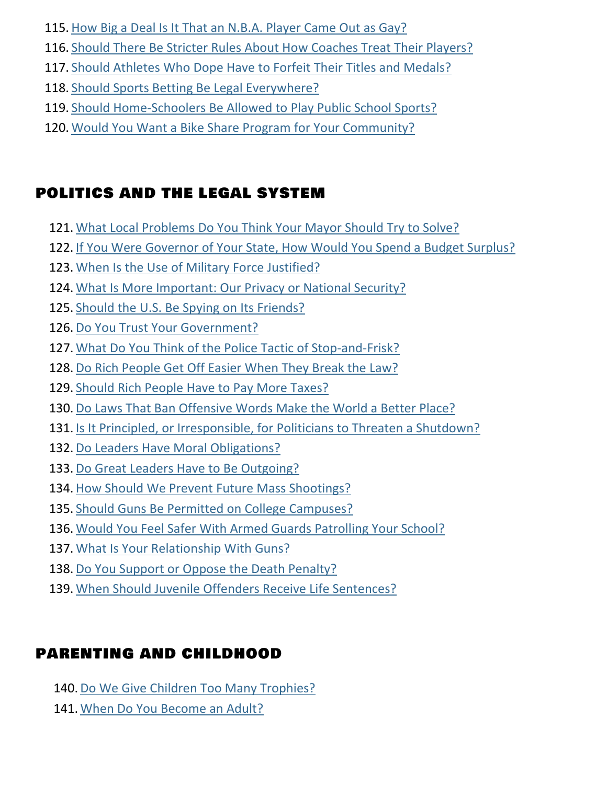- 115. [How Big a Deal Is It That an N.B.A. Player Came Out](https://learning.blogs.nytimes.com/2013/04/30/how-big-a-deal-is-it-that-an-n-b-a-player-came-out-as-gay/) as Gay?
- 116. [Should There Be Stricter Rules About How Coaches Treat Their Players?](https://learning.blogs.nytimes.com/2013/04/08/should-there-be-stricter-rules-about-how-coaches-treat-their-players/)
- 117. [Should Athletes Who Dope Have to Forfeit Their Titles and Medals?](https://learning.blogs.nytimes.com/2012/10/30/should-athletes-who-dope-have-to-forfeit-their-titles-and-medals/)
- 118. [Should Sports Betting Be Legal Everywhere?](https://learning.blogs.nytimes.com/2014/02/03/should-sports-betting-be-legal-everywhere/)
- 119. [Should Home-Schoolers Be Allowed to Play Public School Sports?](https://learning.blogs.nytimes.com/2012/02/10/should-home-schoolers-be-allowed-to-play-public-school-sports/)
- 120. [Would You Want a Bike Share Program for Your Community?](https://learning.blogs.nytimes.com/2013/06/06/would-you-want-a-bike-share-program-for-your-community/)

# POLITICS AND THE LEGAL SYSTEM

- 121. [What Local Problems Do You Think Your Mayor Should Try to Solve?](https://learning.blogs.nytimes.com/2013/09/11/what-local-problems-do-you-think-your-mayor-should-try-to-solve/)
- 122. [If You Were Governor of Your State, How Would You Spend a Budget Surplus?](https://learning.blogs.nytimes.com/2014/02/04/if-you-were-governor-of-your-state-how-would-you-spend-a-budget-surplus/)
- 123. [When Is the Use of Military Force Justified?](https://learning.blogs.nytimes.com/2013/09/10/when-is-the-use-of-military-force-justified/)
- 124. [What Is More Important: Our Privacy or National Security?](https://learning.blogs.nytimes.com/2013/09/17/what-is-more-important-our-privacy-or-national-security/)
- 125. [Should the U.S. Be Spying on Its Friends?](https://learning.blogs.nytimes.com/2013/11/01/should-the-u-s-be-spying-on-its-friends/)
- 126. [Do You Trust Your Government?](https://learning.blogs.nytimes.com/2011/10/27/do-you-trus-your-government/)
- 127. What Do You Think [of the Police Tactic of Stop-and-Frisk?](https://learning.blogs.nytimes.com/2013/12/06/what-do-you-think-of-the-police-tactic-of-stop-and-frisk/)
- 128. [Do Rich People Get Off Easier When They Break the Law?](https://learning.blogs.nytimes.com/2013/12/18/do-rich-people-get-off-easier-when-they-break-the-law/)
- 129. [Should Rich People Have to Pay More Taxes?](https://learning.blogs.nytimes.com/2011/08/17/should-rich-people-have-to-pay-more-taxes/)
- 130. [Do Laws That Ban Offensive Words Make the World a Better Place?](https://learning.blogs.nytimes.com/2014/01/24/do-laws-that-ban-offensive-words-make-the-world-a-better-place/)
- 131. [Is It Principled, or Irresponsible, for Politicians to Threaten a Shutdown?](https://learning.blogs.nytimes.com/2013/10/01/is-it-principled-or-irresponsible-when-politicians-threaten-a-government-shutdown/)
- 132. [Do Leaders Have Moral Obligations?](https://learning.blogs.nytimes.com/2011/11/09/do-leaders-have-moral-obligations/)
- 133. [Do Great Leaders Have to Be Outgoing?](https://learning.blogs.nytimes.com/2012/09/18/do-great-leaders-have-to-be-outgoing/)
- 134. [How Should We Prevent Future Mass Shootings?](https://learning.blogs.nytimes.com/2012/12/18/how-should-we-prevent-future-mass-shootings/)
- 135. [Should Guns Be Permitted on College Campuses?](https://learning.blogs.nytimes.com/2011/03/03/should-guns-be-permitted-on-college-campuses/)
- 136. [Would You Feel Safer With Armed Guards Patrolling Your School?](https://learning.blogs.nytimes.com/2013/01/18/would-you-feel-safer-with-armed-guards-patrolling-your-school/)
- 137. [What Is Your Relationship With Guns?](https://learning.blogs.nytimes.com/2013/12/13/what-is-your-relationship-with-guns/)
- 138. [Do You Support or Oppose the Death Penalty?](https://learning.blogs.nytimes.com/2010/10/19/do-you-support-or-oppose-the-death-penalty/)
- 139. [When Should Juvenile Offenders Receive Life Sentences?](https://learning.blogs.nytimes.com/2012/06/08/when-should-juvenile-offenders-receive-life-sentences/)

# PARENTING AND CHILDHOOD

- 140. [Do We Give Children Too Many Trophies?](https://learning.blogs.nytimes.com/2013/09/26/do-we-give-children-too-many-trophies/)
- 141. [When Do You Become an Adult?](https://learning.blogs.nytimes.com/2012/05/30/when-do-you-become-an-adult/)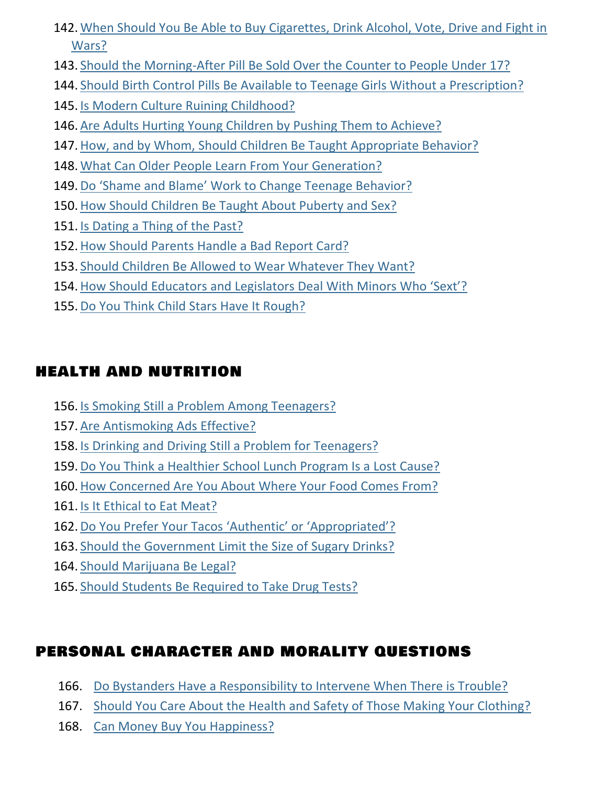- 142. [When Should You Be Able to Buy Cigarettes, Drink Alcohol, Vote, Drive and Fight in](https://learning.blogs.nytimes.com/2013/04/25/at-what-ages-should-you-be-able-to-buy-cigarettes-drink-alcohol-vote-drive-and-fight-in-wars/)  [Wars?](https://learning.blogs.nytimes.com/2013/04/25/at-what-ages-should-you-be-able-to-buy-cigarettes-drink-alcohol-vote-drive-and-fight-in-wars/)
- 143. [Should the Morning-After Pill Be Sold Over the Counter to People Under 17?](https://learning.blogs.nytimes.com/2011/12/09/should-the-morning-after-pill-be-sold-over-the-counter-to-people-under-17/)
- 144. [Should Birth Control Pills Be Available to Teenage Girls Without a Prescription?](https://learning.blogs.nytimes.com/2013/05/03/should-birth-control-pills-be-available-to-teenage-girls-without-a-prescription/)
- 145. [Is Modern Culture Ruining Childhood?](https://learning.blogs.nytimes.com/2011/08/23/is-modern-culture-ruining-childhood/)
- 146. [Are Adults Hurting Young Children by Pushing Them to Achieve?](https://learning.blogs.nytimes.com/2011/05/16/are-adults-hurting-young-children-by-pushing-them-to-achieve/)
- 147. [How, and by Whom, Should Children Be Taught Appropriate Behavior?](https://learning.blogs.nytimes.com/2012/10/15/how-and-by-whom-should-children-be-taught-appropriate-behavior/)
- 148. [What Can Older People Learn From Your Generation?](https://learning.blogs.nytimes.com/2013/11/07/what-can-older-people-learn-from-your-generation/)
- 149. [Do 'Shame and Blame' Work to Change Teenage Be](https://learning.blogs.nytimes.com/2013/03/13/do-shame-and-blame-work-to-change-teenage-behavior/)havior?
- 150. [How Should Children Be Taught About Puberty and Sex?](https://learning.blogs.nytimes.com/2013/02/27/how-should-children-be-taught-about-puberty-and-sex/)
- 151. [Is Dating a Thing of the Past?](https://learning.blogs.nytimes.com/2013/01/14/is-the-date-a-thing-of-the-past/)
- 152. [How Should Parents Handle a Bad Report Card?](https://learning.blogs.nytimes.com/2010/11/16/how-should-parents-handle-a-bad-report-card/)
- 153. [Should Children Be Allowed to Wear Whatever They Want?](https://learning.blogs.nytimes.com/2013/05/13/should-kids-be-allowed-to-wear-whatever-they-want/)
- 154. How Should Educators [and Legislators Deal With Minors Who 'Sext'?](https://learning.blogs.nytimes.com/2011/03/28/how-should-educators-and-legislators-deal-with-minors-who-sext/)
- 155. [Do You Think Child Stars Have It Rough?](https://learning.blogs.nytimes.com/2013/04/02/do-you-think-child-stars-have-it-rough/)

#### HEALTH AND NUTRITION

- 156. [Is Smoking Still a Problem Among Teenagers?](https://learning.blogs.nytimes.com/2013/09/06/is-smoking-still-a-problem-among-teenagers/)
- 157. [Are Antismoking Ads Effective?](https://learning.blogs.nytimes.com/2012/03/19/are-antismoking-ads-effective/)
- 158. [Is Drinking and Driving Still a Problem for Teenagers?](https://learning.blogs.nytimes.com/2013/05/29/is-drinking-and-driving-still-a-problem-for-teenagers/)
- 159. [Do You Think a Healthier School Lunch Program Is a Lost Cause?](https://learning.blogs.nytimes.com/2012/10/10/do-you-think-a-healthier-school-lunch-program-is-a-lost-cause/)
- 160. [How Concerned Are You About Where Your Food Comes From?](https://learning.blogs.nytimes.com/2010/09/16/how-concerned-are-you-about-where-your-food-comes-from/)
- 161. [Is It Ethical to Eat Meat?](https://learning.blogs.nytimes.com/2012/04/19/is-it-ethical-to-eat-meat/)
- 162. [Do You Prefer Your Tacos 'Authentic' or 'Appropriated'?](https://learning.blogs.nytimes.com/2012/05/03/do-you-prefer-your-tacos-authentic-or-appropriated/)
- 163. [Should the Government Limit the Size of Sugary Drinks?](https://learning.blogs.nytimes.com/2012/10/03/should-the-government-limit-the-size-of-sugary-drinks/)
- 164. [Should Marijuana Be Legal?](https://learning.blogs.nytimes.com/2013/05/21/should-marijuana-be-legal/)
- 165. [Should Students Be Required to Take Drug Tests?](https://learning.blogs.nytimes.com/2011/10/12/should-students-be-required-to-take-drug-tests/)

# PERSONAL CHARACTER AND MORALITY QUESTIONS

- 166. [Do Bystanders Have a Responsibility to Intervene When There is Trouble?](https://learning.blogs.nytimes.com/2013/04/23/do-bystanders-have-a-responsibility-to-intervene-in-crimes/)
- 167. [Should You Care About the Health and Safety of Those Making Your Clothing?](https://learning.blogs.nytimes.com/2012/12/14/should-you-care-about-the-health-and-safety-of-the-people-who-make-your-clothing/)
- 168. [Can Money Buy You Happiness?](https://learning.blogs.nytimes.com/2010/10/07/can-money-buy-you-happiness/)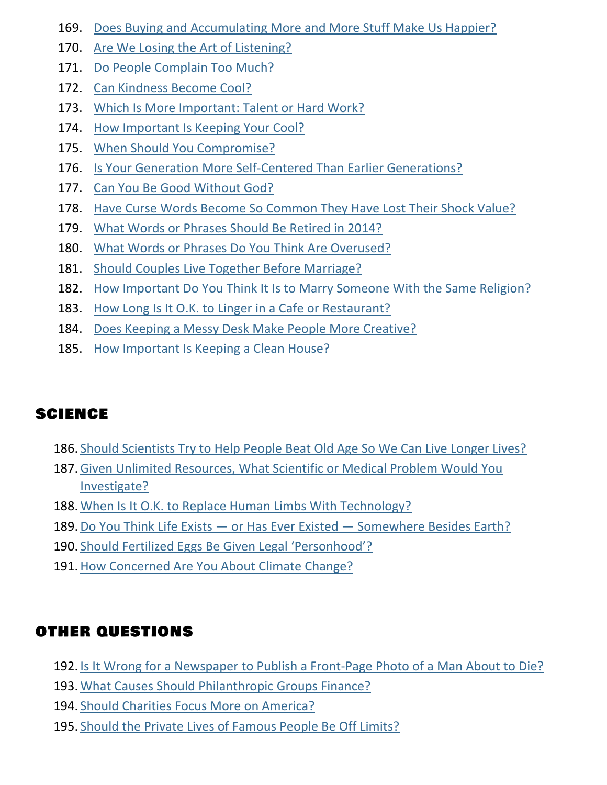- 169. [Does Buying and Accumulating More and More Stuff Make Us Happier?](https://learning.blogs.nytimes.com/2013/03/12/does-buying-and-accumulating-more-and-more-stuff-make-us-happier/)
- 170. [Are We Losing the Art of Listening?](https://learning.blogs.nytimes.com/2011/12/12/are-we-losing-the-art-of-listening/)
- 171. [Do People Complain Too Much?](https://learning.blogs.nytimes.com/2013/05/06/do-people-complain-too-much/)
- 172. [Can Kindness Become Cool?](https://learning.blogs.nytimes.com/2012/03/02/can-kindness-become-cool/)
- 173. [Which Is More Important: Talent or Hard Work?](https://learning.blogs.nytimes.com/2011/11/21/whic-is-more-important-talent-or-hard-work/)
- 174. [How Important Is Keeping Your Cool?](https://learning.blogs.nytimes.com/2012/05/02/how-important-is-keeping-your-cool/)
- 175. [When Should You Compromise?](https://learning.blogs.nytimes.com/2012/12/13/when-should-you-compromise/)
- 176. [Is Your Generation More Self-Centered Than Earlier Generations?](https://learning.blogs.nytimes.com/2011/04/26/is-your-generation-more-self-centered-than-earlier-generations/)
- 177. [Can You Be Good Without God?](https://learning.blogs.nytimes.com/2011/12/21/can-you-be-good-without-god/)
- 178. [Have Curse Words Become So Common They Have Lost Their Shock Value?](https://learning.blogs.nytimes.com/2013/02/01/have-curse-words-become-so-common-they-have-lost-their-shock-value/)
- 179. [What Words or Phrases Should Be Retired in 2014?](https://learning.blogs.nytimes.com/2014/01/03/what-words-or-phrases-should-be-retired-in-2014/)
- 180. [What Words or Phrases Do You Think Are Overused?](https://learning.blogs.nytimes.com/2012/10/05/what-words-or-phrases-do-you-think-are-overused/)
- 181. [Should Couples Live Together Before Marriage?](https://learning.blogs.nytimes.com/2012/04/17/should-couples-live-together-before-marriage/)
- 182. [How Important Do You Think It Is to Marry Someone With the Same Religion?](https://learning.blogs.nytimes.com/2013/04/04/how-important-do-you-think-it-is-to-marry-someone-with-the-same-religion/)
- 183. [How Long Is It O.K. to Linger in a Cafe or Restaurant?](https://learning.blogs.nytimes.com/2014/01/29/how-long-is-it-okay-to-linger-in-a-cafe-or-restaurant/)
- 184. [Does Keeping a Messy Desk Make People More Creative?](https://learning.blogs.nytimes.com/2013/09/16/does-keeping-a-messy-desk-make-people-more-creative/)
- 185. [How Important Is Keeping a Clean House?](https://learning.blogs.nytimes.com/2013/12/09/how-important-is-keeping-a-clean-house/)

# SCIENCE

- 186. [Should Scientists Try to Help People Beat Old Age So We Can Live Longer Lives?](https://learning.blogs.nytimes.com/2013/12/03/should-scientists-try-to-help-people-beat-old-age-so-we-can-live-radically-longer-lives/)
- 187. [Given Unlimited Resources, What Scientific or Medical Problem Would You](https://learning.blogs.nytimes.com/2012/01/18/given-unlimited-resources-what-scientific-or-medical-problem-would-you-investigate/)  [Investigate?](https://learning.blogs.nytimes.com/2012/01/18/given-unlimited-resources-what-scientific-or-medical-problem-would-you-investigate/)
- 188. [When Is It O.K. to Replace Human Limbs With Technology?](https://learning.blogs.nytimes.com/2012/05/16/when-is-it-okay-to-replace-human-limbs-with-technology/)
- 189. Do You Think Life Exists or Has Ever Existed [Somewhere Besides Earth?](https://learning.blogs.nytimes.com/2013/03/15/do-you-think-life-exists-or-has-ever-existed-somewhere-besides-earth/)
- 190. [Should Fertilized Eggs Be Given Legal 'Personhood'?](https://learning.blogs.nytimes.com/2011/11/04/should-fertilized-eggs-be-given-legal-personhood/)
- 191. [How Concerned Are You About Climate Change?](https://learning.blogs.nytimes.com/2012/11/27/how-concerned-are-you-about-climate-change/)

# OTHER QUESTIONS

- 192. [Is It Wrong for a Newspaper to Publish a Front-Page Photo of a Man About to Die?](https://learning.blogs.nytimes.com/2012/12/06/is-it-wrong-for-a-newspaper-to-publish-a-front-page-photo-of-a-man-about-to-die/)
- 193. [What Causes Should Philanthropic](https://learning.blogs.nytimes.com/2011/11/03/what-causes-should-philanthropic-groups-financ/) Groups Finance?
- 194. [Should Charities Focus More on America?](https://learning.blogs.nytimes.com/2012/01/13/charities-focus-america/)
- 195. [Should the Private Lives of Famous People Be Off Limits?](https://learning.blogs.nytimes.com/2012/09/17/should-the-private-lives-of-famous-people-be-off-limits/)